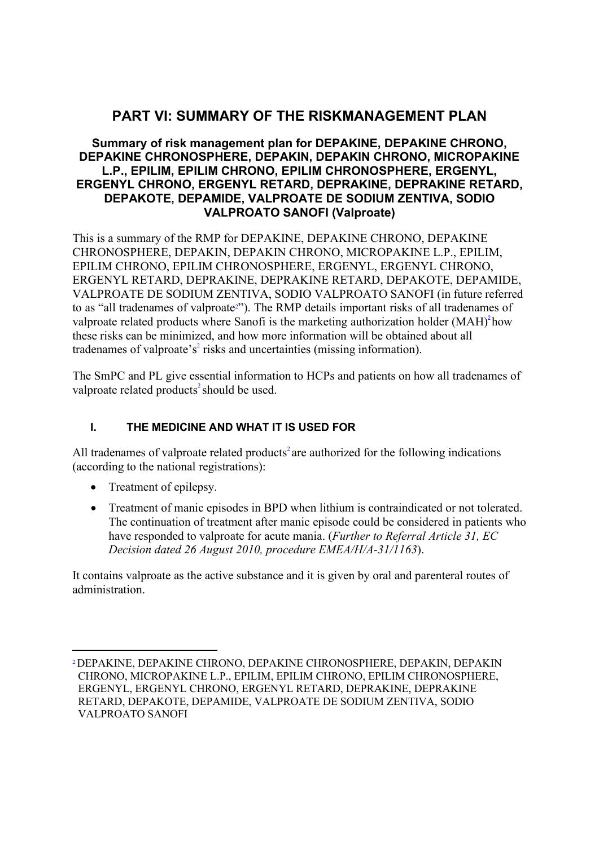# **PART VI: SUMMARY OF THE RISKMANAGEMENT PLAN**

## **Summary of risk management plan for DEPAKINE, DEPAKINE CHRONO, DEPAKINE CHRONOSPHERE, DEPAKIN, DEPAKIN CHRONO, MICROPAKINE L.P., EPILIM, EPILIM CHRONO, EPILIM CHRONOSPHERE, ERGENYL, ERGENYL CHRONO, ERGENYL RETARD, DEPRAKINE, DEPRAKINE RETARD, DEPAKOTE, DEPAMIDE, VALPROATE DE SODIUM ZENTIVA, SODIO VALPROATO SANOFI (Valproate)**

<span id="page-0-1"></span>This is a summary of the RMP for DEPAKINE, DEPAKINE CHRONO, DEPAKINE CHRONOSPHERE, DEPAKIN, DEPAKIN CHRONO, MICROPAKINE L.P., EPILIM, EPILIM CHRONO, EPILIM CHRONOSPHERE, ERGENYL, ERGENYL CHRONO, ERGENYL RETARD, DEPRAKINE, DEPRAKINE RETARD, DEPAKOTE, DEPAMIDE, VALPROATE DE SODIUM ZENTIVA, SODIO VALPROATO SANOFI (in future referred to as "all tradenames of valproat[e2"](#page-0-0)). The RMP details important risks of all tradenames of valproate related products where Sanofi is the marketing authorization holder  $(MAH)^2$  $(MAH)^2$  $(MAH)^2$ how these risks can be minimized, and how more information will be obtained about all tradename[s](#page-0-1) of valproate's<sup>2</sup> risks and uncertainties (missing information).

The SmPC and PL give essential information to HCPs and patients on how all tradenames of valproate related product[s](#page-0-1)<sup>2</sup> should be used.

## **I. THE MEDICINE AND WHAT IT IS USED FOR**

All tradenames of valproate related products<sup>2</sup> are authorized for the following indications (according to the national registrations):

- Treatment of epilepsy.
- Treatment of manic episodes in BPD when lithium is contraindicated or not tolerated. The continuation of treatment after manic episode could be considered in patients who have responded to valproate for acute mania. (*Further to Referral Article 31, EC Decision dated 26 August 2010, procedure EMEA/H/A-31/1163*).

It contains valproate as the active substance and it is given by oral and parenteral routes of administration.

<span id="page-0-0"></span>[<sup>2</sup>D](#page-0-1)EPAKINE, DEPAKINE CHRONO, DEPAKINE CHRONOSPHERE, DEPAKIN, DEPAKIN CHRONO, MICROPAKINE L.P., EPILIM, EPILIM CHRONO, EPILIM CHRONOSPHERE, ERGENYL, ERGENYL CHRONO, ERGENYL RETARD, DEPRAKINE, DEPRAKINE RETARD, DEPAKOTE, DEPAMIDE, VALPROATE DE SODIUM ZENTIVA, SODIO VALPROATO SANOFI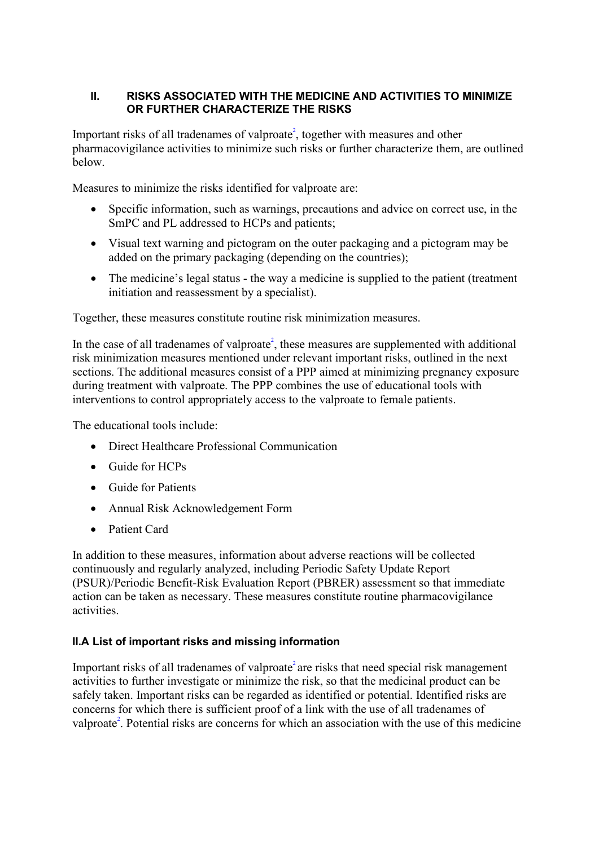## **II. RISKS ASSOCIATED WITH THE MEDICINE AND ACTIVITIES TO MINIMIZE OR FURTHER CHARACTERIZE THE RISKS**

Important risks of all tradenames of valproate<sup>2</sup>[,](#page-0-1) together with measures and other pharmacovigilance activities to minimize such risks or further characterize them, are outlined below.

Measures to minimize the risks identified for valproate are:

- Specific information, such as warnings, precautions and advice on correct use, in the SmPC and PL addressed to HCPs and patients;
- Visual text warning and pictogram on the outer packaging and a pictogram may be added on the primary packaging (depending on the countries);
- The medicine's legal status the way a medicine is supplied to the patient (treatment initiation and reassessment by a specialist).

Together, these measures constitute routine risk minimization measures.

In the case of all tradenames of valproate<sup>2</sup>[,](#page-0-1) these measures are supplemented with additional risk minimization measures mentioned under relevant important risks, outlined in the next sections. The additional measures consist of a PPP aimed at minimizing pregnancy exposure during treatment with valproate. The PPP combines the use of educational tools with interventions to control appropriately access to the valproate to female patients.

The educational tools include:

- Direct Healthcare Professional Communication
- Guide for HCPs
- Guide for Patients
- Annual Risk Acknowledgement Form
- Patient Card

In addition to these measures, information about adverse reactions will be collected continuously and regularly analyzed, including Periodic Safety Update Report (PSUR)/Periodic Benefit-Risk Evaluation Report (PBRER) assessment so that immediate action can be taken as necessary. These measures constitute routine pharmacovigilance activities.

## **II.A List of important risks and missing information**

Important risks of all tradenames of valproate<sup>2</sup> are risks that need special risk management activities to further investigate or minimize the risk, so that the medicinal product can be safely taken. Important risks can be regarded as identified or potential. Identified risks are concerns for which there is sufficient proof of a link with the use of all tradenames of valproate<sup>2</sup>. Potential risks are concerns for which an association with the use of this medicine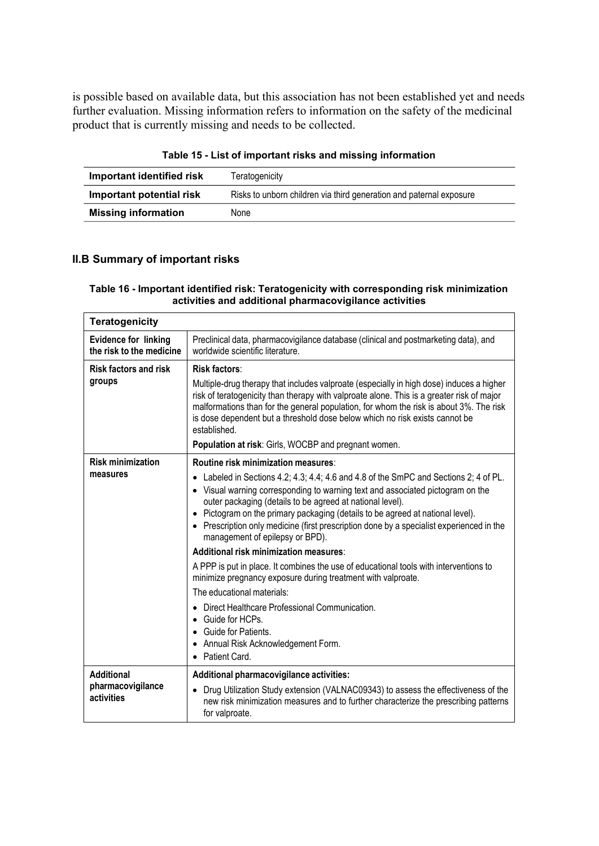is possible based on available data, but this association has not been established yet and needs further evaluation. Missing information refers to information on the safety of the medicinal product that is currently missing and needs to be collected.

|  | Table 15 - List of important risks and missing information |  |  |  |
|--|------------------------------------------------------------|--|--|--|
|--|------------------------------------------------------------|--|--|--|

| Important identified risk  | Teratogenicity                                                      |
|----------------------------|---------------------------------------------------------------------|
| Important potential risk   | Risks to unborn children via third generation and paternal exposure |
| <b>Missing information</b> | None                                                                |

## **II.B Summary of important risks**

#### **Table 16 - Important identified risk: Teratogenicity with corresponding risk minimization activities and additional pharmacovigilance activities**

| <b>Teratogenicity</b>                                   |                                                                                                                                                                                                                                                                                                                                                                                                                                                                             |  |
|---------------------------------------------------------|-----------------------------------------------------------------------------------------------------------------------------------------------------------------------------------------------------------------------------------------------------------------------------------------------------------------------------------------------------------------------------------------------------------------------------------------------------------------------------|--|
| <b>Evidence for linking</b><br>the risk to the medicine | Preclinical data, pharmacovigilance database (clinical and postmarketing data), and<br>worldwide scientific literature.                                                                                                                                                                                                                                                                                                                                                     |  |
| <b>Risk factors and risk</b>                            | <b>Risk factors:</b>                                                                                                                                                                                                                                                                                                                                                                                                                                                        |  |
| groups                                                  | Multiple-drug therapy that includes valproate (especially in high dose) induces a higher<br>risk of teratogenicity than therapy with valproate alone. This is a greater risk of major<br>malformations than for the general population, for whom the risk is about 3%. The risk<br>is dose dependent but a threshold dose below which no risk exists cannot be<br>established.                                                                                              |  |
|                                                         | Population at risk: Girls, WOCBP and pregnant women.                                                                                                                                                                                                                                                                                                                                                                                                                        |  |
| <b>Risk minimization</b>                                | Routine risk minimization measures:                                                                                                                                                                                                                                                                                                                                                                                                                                         |  |
| measures                                                | Labeled in Sections 4.2; 4.3; 4.4; 4.6 and 4.8 of the SmPC and Sections 2; 4 of PL.<br>$\bullet$<br>• Visual warning corresponding to warning text and associated pictogram on the<br>outer packaging (details to be agreed at national level).<br>Pictogram on the primary packaging (details to be agreed at national level).<br>$\bullet$<br>• Prescription only medicine (first prescription done by a specialist experienced in the<br>management of epilepsy or BPD). |  |
|                                                         | Additional risk minimization measures:                                                                                                                                                                                                                                                                                                                                                                                                                                      |  |
|                                                         | A PPP is put in place. It combines the use of educational tools with interventions to<br>minimize pregnancy exposure during treatment with valproate.                                                                                                                                                                                                                                                                                                                       |  |
|                                                         | The educational materials:                                                                                                                                                                                                                                                                                                                                                                                                                                                  |  |
|                                                         | Direct Healthcare Professional Communication.<br>Guide for HCPs.<br>$\bullet$                                                                                                                                                                                                                                                                                                                                                                                               |  |
|                                                         | Guide for Patients.<br>$\bullet$                                                                                                                                                                                                                                                                                                                                                                                                                                            |  |
|                                                         | Annual Risk Acknowledgement Form.<br>$\bullet$<br>Patient Card.                                                                                                                                                                                                                                                                                                                                                                                                             |  |
| <b>Additional</b>                                       | Additional pharmacovigilance activities:                                                                                                                                                                                                                                                                                                                                                                                                                                    |  |
| pharmacovigilance<br>activities                         | Drug Utilization Study extension (VALNAC09343) to assess the effectiveness of the<br>new risk minimization measures and to further characterize the prescribing patterns<br>for valproate.                                                                                                                                                                                                                                                                                  |  |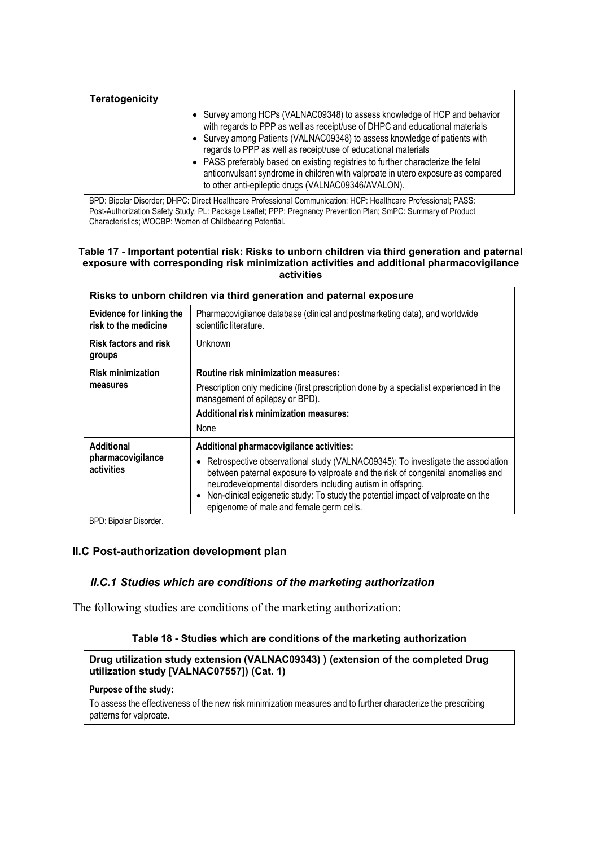| <b>Teratogenicity</b> |                                                                                                                                                                                                                                                                                                                                                                                                                                                                                                                                          |
|-----------------------|------------------------------------------------------------------------------------------------------------------------------------------------------------------------------------------------------------------------------------------------------------------------------------------------------------------------------------------------------------------------------------------------------------------------------------------------------------------------------------------------------------------------------------------|
|                       | • Survey among HCPs (VALNAC09348) to assess knowledge of HCP and behavior<br>with regards to PPP as well as receipt/use of DHPC and educational materials<br>• Survey among Patients (VALNAC09348) to assess knowledge of patients with<br>regards to PPP as well as receipt/use of educational materials<br>• PASS preferably based on existing registries to further characterize the fetal<br>anticonvulsant syndrome in children with valproate in utero exposure as compared<br>to other anti-epileptic drugs (VALNAC09346/AVALON). |

BPD: Bipolar Disorder; DHPC: Direct Healthcare Professional Communication; HCP: Healthcare Professional; PASS: Post-Authorization Safety Study; PL: Package Leaflet; PPP: Pregnancy Prevention Plan; SmPC: Summary of Product Characteristics; WOCBP: Women of Childbearing Potential.

#### **Table 17 - Important potential risk: Risks to unborn children via third generation and paternal exposure with corresponding risk minimization activities and additional pharmacovigilance activities**

| Risks to unborn children via third generation and paternal exposure |                                                                                                                                                                                                                                                                                                                                                                                                               |  |
|---------------------------------------------------------------------|---------------------------------------------------------------------------------------------------------------------------------------------------------------------------------------------------------------------------------------------------------------------------------------------------------------------------------------------------------------------------------------------------------------|--|
| <b>Evidence for linking the</b><br>risk to the medicine             | Pharmacovigilance database (clinical and postmarketing data), and worldwide<br>scientific literature.                                                                                                                                                                                                                                                                                                         |  |
| <b>Risk factors and risk</b><br>groups                              | <b>Unknown</b>                                                                                                                                                                                                                                                                                                                                                                                                |  |
| <b>Risk minimization</b><br>measures                                | <b>Routine risk minimization measures:</b><br>Prescription only medicine (first prescription done by a specialist experienced in the<br>management of epilepsy or BPD).<br>Additional risk minimization measures:<br>None                                                                                                                                                                                     |  |
| <b>Additional</b><br>pharmacovigilance<br>activities                | Additional pharmacovigilance activities:<br>Retrospective observational study (VALNAC09345): To investigate the association<br>between paternal exposure to valproate and the risk of congenital anomalies and<br>neurodevelopmental disorders including autism in offspring.<br>Non-clinical epigenetic study: To study the potential impact of valproate on the<br>epigenome of male and female germ cells. |  |

BPD: Bipolar Disorder.

### **II.C Post-authorization development plan**

## *II.C.1 Studies which are conditions of the marketing authorization*

The following studies are conditions of the marketing authorization:

### **Table 18 - Studies which are conditions of the marketing authorization**

### **Drug utilization study extension (VALNAC09343) ) (extension of the completed Drug utilization study [VALNAC07557]) (Cat. 1)**

## **Purpose of the study:**

To assess the effectiveness of the new risk minimization measures and to further characterize the prescribing patterns for valproate.